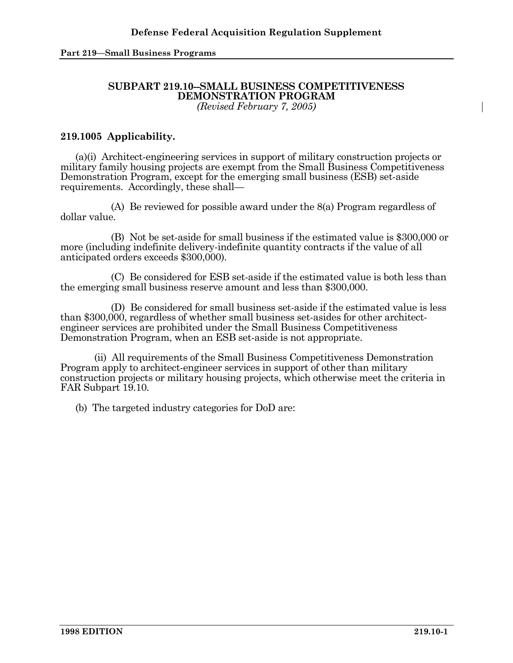# **SUBPART 219.10--SMALL BUSINESS COMPETITIVENESS DEMONSTRATION PROGRAM**

*(Revised February 7, 2005)* 

## **219.1005 Applicability.**

 (a)(i) Architect-engineering services in support of military construction projects or military family housing projects are exempt from the Small Business Competitiveness Demonstration Program, except for the emerging small business (ESB) set-aside requirements. Accordingly, these shall—

 (A) Be reviewed for possible award under the 8(a) Program regardless of dollar value.

(B)Not be set-aside for small business if the estimated value is \$300,000 or more (including indefinite delivery-indefinite quantity contracts if the value of all anticipated orders exceeds \$300,000).

(C)Be considered for ESB set-aside if the estimated value is both less than the emerging small business reserve amount and less than \$300,000.

(D)Be considered for small business set-aside if the estimated value is less than \$300,000, regardless of whether small business set-asides for other architectengineer services are prohibited under the Small Business Competitiveness Demonstration Program, when an ESB set-aside is not appropriate.

 (ii) All requirements of the Small Business Competitiveness Demonstration Program apply to architect-engineer services in support of other than military construction projects or military housing projects, which otherwise meet the criteria in FAR Subpart 19.10.

(b) The targeted industry categories for DoD are: